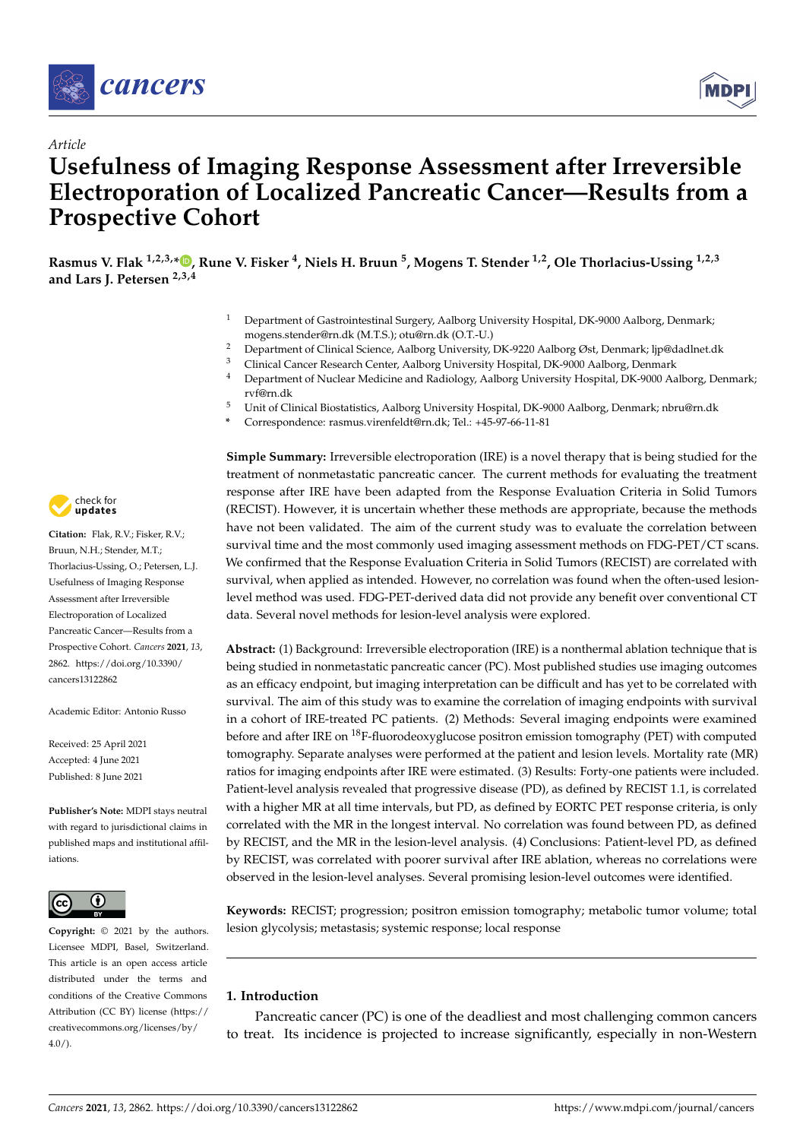



# *Article* **Usefulness of Imaging Response Assessment after Irreversible Electroporation of Localized Pancreatic Cancer—Results from a Prospective Cohort**

**Rasmus V. Flak 1,2,3,\* [,](https://orcid.org/0000-0002-4614-4435) Rune V. Fisker <sup>4</sup> , Niels H. Bruun <sup>5</sup> , Mogens T. Stender 1,2, Ole Thorlacius-Ussing 1,2,3 and Lars J. Petersen 2,3,4**

- <sup>1</sup> Department of Gastrointestinal Surgery, Aalborg University Hospital, DK-9000 Aalborg, Denmark; mogens.stender@rn.dk (M.T.S.); otu@rn.dk (O.T.-U.)
- <sup>2</sup> Department of Clinical Science, Aalborg University, DK-9220 Aalborg Øst, Denmark; ljp@dadlnet.dk<br><sup>3</sup> Clinical Cancer Besearch Center, Aalborg University, Heenital, DK 0000 Aalborg, Denmark
- <sup>3</sup> Clinical Cancer Research Center, Aalborg University Hospital, DK-9000 Aalborg, Denmark
- <sup>4</sup> Department of Nuclear Medicine and Radiology, Aalborg University Hospital, DK-9000 Aalborg, Denmark; rvf@rn.dk
- <sup>5</sup> Unit of Clinical Biostatistics, Aalborg University Hospital, DK-9000 Aalborg, Denmark; nbru@rn.dk
- **\*** Correspondence: rasmus.virenfeldt@rn.dk; Tel.: +45-97-66-11-81



**Abstract:** (1) Background: Irreversible electroporation (IRE) is a nonthermal ablation technique that is being studied in nonmetastatic pancreatic cancer (PC). Most published studies use imaging outcomes as an efficacy endpoint, but imaging interpretation can be difficult and has yet to be correlated with survival. The aim of this study was to examine the correlation of imaging endpoints with survival in a cohort of IRE-treated PC patients. (2) Methods: Several imaging endpoints were examined before and after IRE on <sup>18</sup>F-fluorodeoxyglucose positron emission tomography (PET) with computed tomography. Separate analyses were performed at the patient and lesion levels. Mortality rate (MR) ratios for imaging endpoints after IRE were estimated. (3) Results: Forty-one patients were included. Patient-level analysis revealed that progressive disease (PD), as defined by RECIST 1.1, is correlated with a higher MR at all time intervals, but PD, as defined by EORTC PET response criteria, is only correlated with the MR in the longest interval. No correlation was found between PD, as defined by RECIST, and the MR in the lesion-level analysis. (4) Conclusions: Patient-level PD, as defined by RECIST, was correlated with poorer survival after IRE ablation, whereas no correlations were observed in the lesion-level analyses. Several promising lesion-level outcomes were identified.

**Keywords:** RECIST; progression; positron emission tomography; metabolic tumor volume; total lesion glycolysis; metastasis; systemic response; local response

### **1. Introduction**

Pancreatic cancer (PC) is one of the deadliest and most challenging common cancers to treat. Its incidence is projected to increase significantly, especially in non-Western



Citation: Flak, R.V.; Fisker, R.V.; Bruun, N.H.; Stender, M.T.; Thorlacius-Ussing, O.; Petersen, L.J. Usefulness of Imaging Response Assessment after Irreversible Electroporation of Localized Pancreatic Cancer—Results from a Prospective Cohort. *Cancers* **2021**, *13*, 2862. [https://doi.org/10.3390/](https://doi.org/10.3390/cancers13122862) [cancers13122862](https://doi.org/10.3390/cancers13122862)

Academic Editor: Antonio Russo

Received: 25 April 2021 Accepted: 4 June 2021 Published: 8 June 2021

**Publisher's Note:** MDPI stays neutral with regard to jurisdictional claims in published maps and institutional affiliations.



**Copyright:** © 2021 by the authors. Licensee MDPI, Basel, Switzerland. This article is an open access article distributed under the terms and conditions of the Creative Commons Attribution (CC BY) license (https:/[/](https://creativecommons.org/licenses/by/4.0/) [creativecommons.org/licenses/by/](https://creativecommons.org/licenses/by/4.0/)  $4.0/$ ).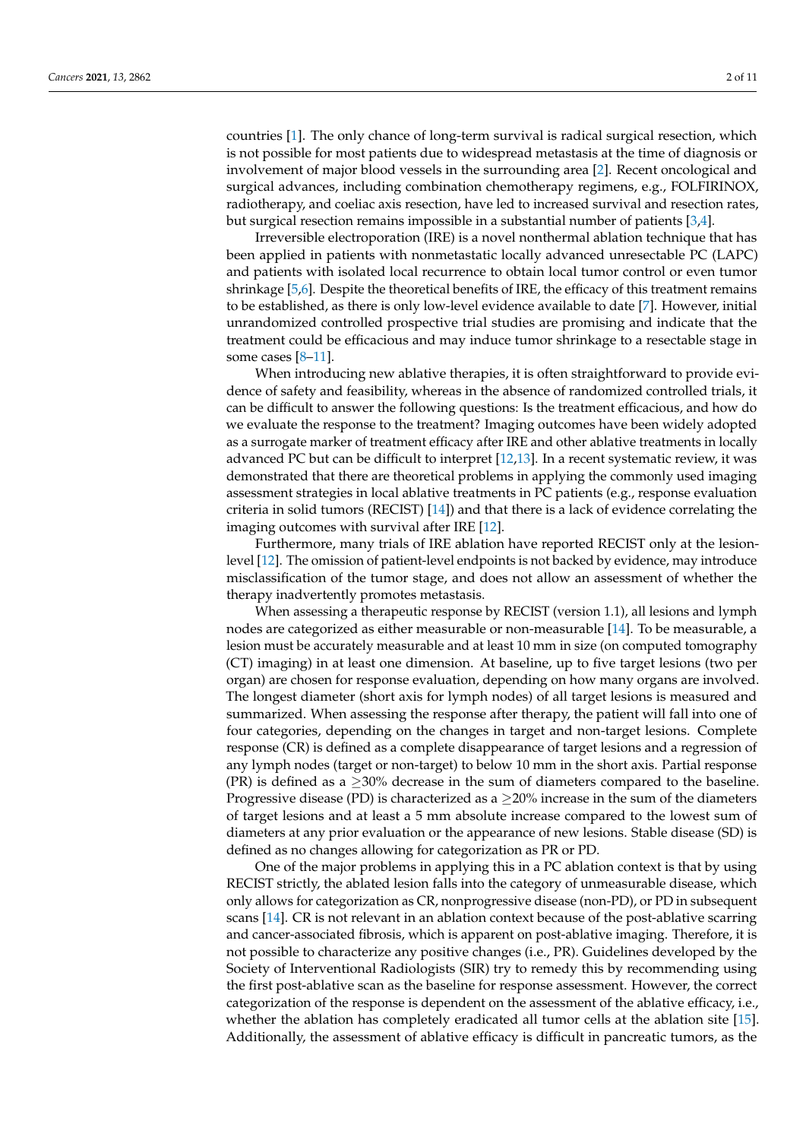countries [\[1\]](#page-8-0). The only chance of long-term survival is radical surgical resection, which is not possible for most patients due to widespread metastasis at the time of diagnosis or involvement of major blood vessels in the surrounding area [\[2\]](#page-8-1). Recent oncological and surgical advances, including combination chemotherapy regimens, e.g., FOLFIRINOX, radiotherapy, and coeliac axis resection, have led to increased survival and resection rates, but surgical resection remains impossible in a substantial number of patients [\[3,](#page-9-0)[4\]](#page-9-1).

Irreversible electroporation (IRE) is a novel nonthermal ablation technique that has been applied in patients with nonmetastatic locally advanced unresectable PC (LAPC) and patients with isolated local recurrence to obtain local tumor control or even tumor shrinkage [\[5,](#page-9-2)[6\]](#page-9-3). Despite the theoretical benefits of IRE, the efficacy of this treatment remains to be established, as there is only low-level evidence available to date [\[7\]](#page-9-4). However, initial unrandomized controlled prospective trial studies are promising and indicate that the treatment could be efficacious and may induce tumor shrinkage to a resectable stage in some cases [\[8](#page-9-5)-11].

When introducing new ablative therapies, it is often straightforward to provide evidence of safety and feasibility, whereas in the absence of randomized controlled trials, it can be difficult to answer the following questions: Is the treatment efficacious, and how do we evaluate the response to the treatment? Imaging outcomes have been widely adopted as a surrogate marker of treatment efficacy after IRE and other ablative treatments in locally advanced PC but can be difficult to interpret [\[12](#page-9-7)[,13\]](#page-9-8). In a recent systematic review, it was demonstrated that there are theoretical problems in applying the commonly used imaging assessment strategies in local ablative treatments in PC patients (e.g., response evaluation criteria in solid tumors (RECIST) [\[14\]](#page-9-9)) and that there is a lack of evidence correlating the imaging outcomes with survival after IRE [\[12\]](#page-9-7).

Furthermore, many trials of IRE ablation have reported RECIST only at the lesionlevel [\[12\]](#page-9-7). The omission of patient-level endpoints is not backed by evidence, may introduce misclassification of the tumor stage, and does not allow an assessment of whether the therapy inadvertently promotes metastasis.

When assessing a therapeutic response by RECIST (version 1.1), all lesions and lymph nodes are categorized as either measurable or non-measurable [\[14\]](#page-9-9). To be measurable, a lesion must be accurately measurable and at least 10 mm in size (on computed tomography (CT) imaging) in at least one dimension. At baseline, up to five target lesions (two per organ) are chosen for response evaluation, depending on how many organs are involved. The longest diameter (short axis for lymph nodes) of all target lesions is measured and summarized. When assessing the response after therapy, the patient will fall into one of four categories, depending on the changes in target and non-target lesions. Complete response (CR) is defined as a complete disappearance of target lesions and a regression of any lymph nodes (target or non-target) to below 10 mm in the short axis. Partial response (PR) is defined as a  $\geq$ 30% decrease in the sum of diameters compared to the baseline. Progressive disease (PD) is characterized as a  $\geq$ 20% increase in the sum of the diameters of target lesions and at least a 5 mm absolute increase compared to the lowest sum of diameters at any prior evaluation or the appearance of new lesions. Stable disease (SD) is defined as no changes allowing for categorization as PR or PD.

One of the major problems in applying this in a PC ablation context is that by using RECIST strictly, the ablated lesion falls into the category of unmeasurable disease, which only allows for categorization as CR, nonprogressive disease (non-PD), or PD in subsequent scans [\[14\]](#page-9-9). CR is not relevant in an ablation context because of the post-ablative scarring and cancer-associated fibrosis, which is apparent on post-ablative imaging. Therefore, it is not possible to characterize any positive changes (i.e., PR). Guidelines developed by the Society of Interventional Radiologists (SIR) try to remedy this by recommending using the first post-ablative scan as the baseline for response assessment. However, the correct categorization of the response is dependent on the assessment of the ablative efficacy, i.e., whether the ablation has completely eradicated all tumor cells at the ablation site [\[15\]](#page-9-10). Additionally, the assessment of ablative efficacy is difficult in pancreatic tumors, as the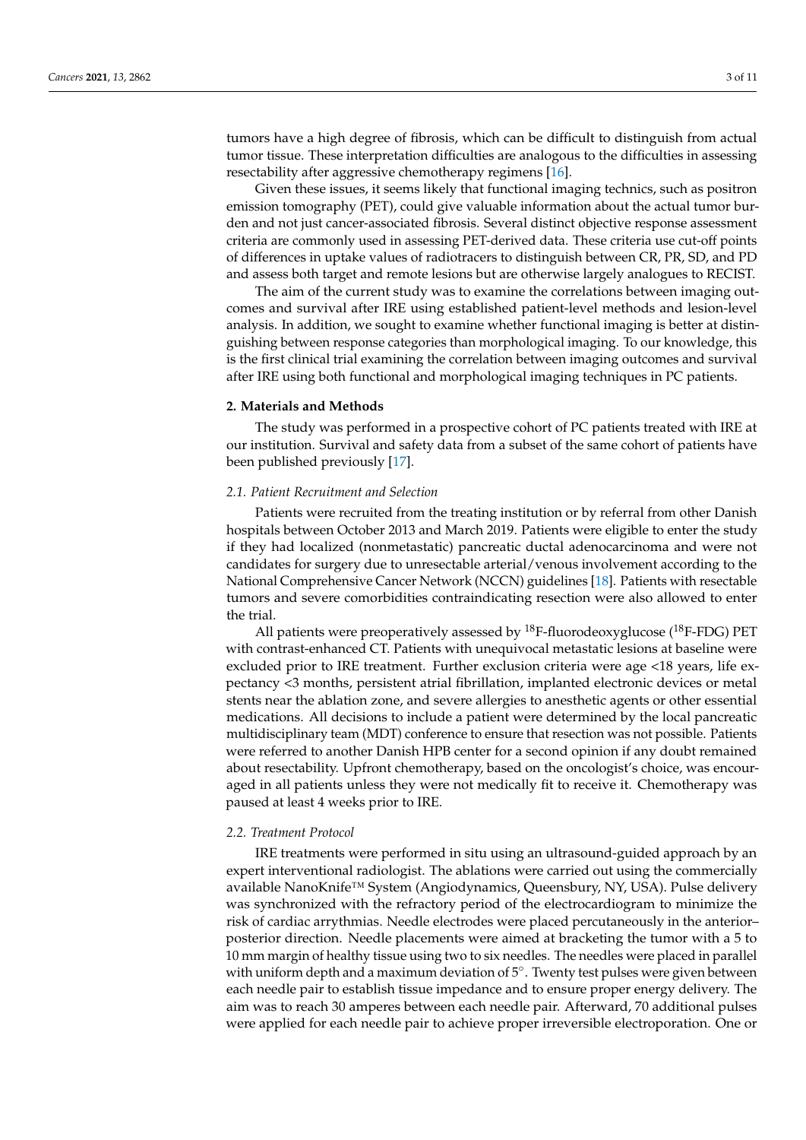tumors have a high degree of fibrosis, which can be difficult to distinguish from actual tumor tissue. These interpretation difficulties are analogous to the difficulties in assessing resectability after aggressive chemotherapy regimens [\[16\]](#page-9-11).

Given these issues, it seems likely that functional imaging technics, such as positron emission tomography (PET), could give valuable information about the actual tumor burden and not just cancer-associated fibrosis. Several distinct objective response assessment criteria are commonly used in assessing PET-derived data. These criteria use cut-off points of differences in uptake values of radiotracers to distinguish between CR, PR, SD, and PD and assess both target and remote lesions but are otherwise largely analogues to RECIST.

The aim of the current study was to examine the correlations between imaging outcomes and survival after IRE using established patient-level methods and lesion-level analysis. In addition, we sought to examine whether functional imaging is better at distinguishing between response categories than morphological imaging. To our knowledge, this is the first clinical trial examining the correlation between imaging outcomes and survival after IRE using both functional and morphological imaging techniques in PC patients.

#### **2. Materials and Methods**

The study was performed in a prospective cohort of PC patients treated with IRE at our institution. Survival and safety data from a subset of the same cohort of patients have been published previously [\[17\]](#page-9-12).

#### *2.1. Patient Recruitment and Selection*

Patients were recruited from the treating institution or by referral from other Danish hospitals between October 2013 and March 2019. Patients were eligible to enter the study if they had localized (nonmetastatic) pancreatic ductal adenocarcinoma and were not candidates for surgery due to unresectable arterial/venous involvement according to the National Comprehensive Cancer Network (NCCN) guidelines [\[18\]](#page-9-13). Patients with resectable tumors and severe comorbidities contraindicating resection were also allowed to enter the trial.

All patients were preoperatively assessed by  $^{18}$ F-fluorodeoxyglucose ( $^{18}$ F-FDG) PET with contrast-enhanced CT. Patients with unequivocal metastatic lesions at baseline were excluded prior to IRE treatment. Further exclusion criteria were age <18 years, life expectancy <3 months, persistent atrial fibrillation, implanted electronic devices or metal stents near the ablation zone, and severe allergies to anesthetic agents or other essential medications. All decisions to include a patient were determined by the local pancreatic multidisciplinary team (MDT) conference to ensure that resection was not possible. Patients were referred to another Danish HPB center for a second opinion if any doubt remained about resectability. Upfront chemotherapy, based on the oncologist's choice, was encouraged in all patients unless they were not medically fit to receive it. Chemotherapy was paused at least 4 weeks prior to IRE.

#### *2.2. Treatment Protocol*

IRE treatments were performed in situ using an ultrasound-guided approach by an expert interventional radiologist. The ablations were carried out using the commercially available NanoKnife™ System (Angiodynamics, Queensbury, NY, USA). Pulse delivery was synchronized with the refractory period of the electrocardiogram to minimize the risk of cardiac arrythmias. Needle electrodes were placed percutaneously in the anterior– posterior direction. Needle placements were aimed at bracketing the tumor with a 5 to 10 mm margin of healthy tissue using two to six needles. The needles were placed in parallel with uniform depth and a maximum deviation of 5°. Twenty test pulses were given between each needle pair to establish tissue impedance and to ensure proper energy delivery. The aim was to reach 30 amperes between each needle pair. Afterward, 70 additional pulses were applied for each needle pair to achieve proper irreversible electroporation. One or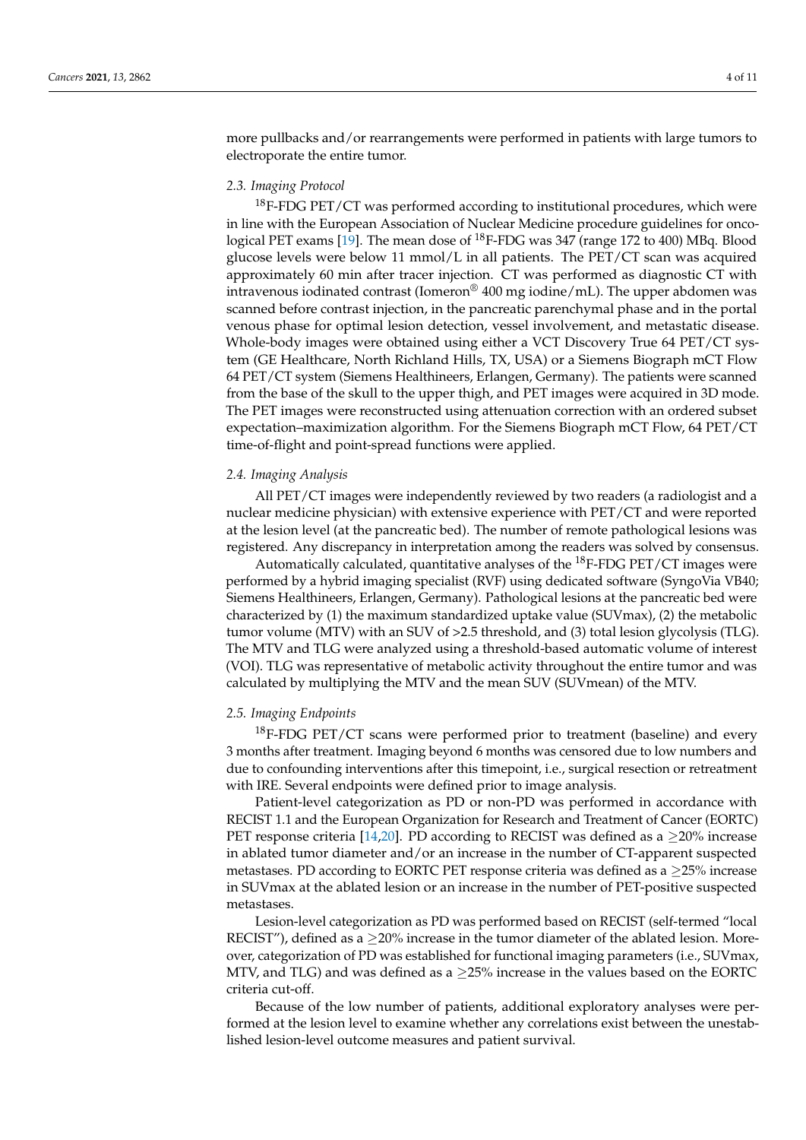more pullbacks and/or rearrangements were performed in patients with large tumors to electroporate the entire tumor.

#### *2.3. Imaging Protocol*

 $18$ F-FDG PET/CT was performed according to institutional procedures, which were in line with the European Association of Nuclear Medicine procedure guidelines for onco-logical PET exams [\[19\]](#page-9-14). The mean dose of <sup>18</sup>F-FDG was 347 (range 172 to 400) MBq. Blood glucose levels were below 11 mmol/L in all patients. The PET/CT scan was acquired approximately 60 min after tracer injection. CT was performed as diagnostic CT with intravenous iodinated contrast (Iomeron<sup>®</sup> 400 mg iodine/mL). The upper abdomen was scanned before contrast injection, in the pancreatic parenchymal phase and in the portal venous phase for optimal lesion detection, vessel involvement, and metastatic disease. Whole-body images were obtained using either a VCT Discovery True 64 PET/CT system (GE Healthcare, North Richland Hills, TX, USA) or a Siemens Biograph mCT Flow 64 PET/CT system (Siemens Healthineers, Erlangen, Germany). The patients were scanned from the base of the skull to the upper thigh, and PET images were acquired in 3D mode. The PET images were reconstructed using attenuation correction with an ordered subset expectation–maximization algorithm. For the Siemens Biograph mCT Flow, 64 PET/CT time-of-flight and point-spread functions were applied.

#### *2.4. Imaging Analysis*

All PET/CT images were independently reviewed by two readers (a radiologist and a nuclear medicine physician) with extensive experience with PET/CT and were reported at the lesion level (at the pancreatic bed). The number of remote pathological lesions was registered. Any discrepancy in interpretation among the readers was solved by consensus.

Automatically calculated, quantitative analyses of the  $^{18}$ F-FDG PET/CT images were performed by a hybrid imaging specialist (RVF) using dedicated software (SyngoVia VB40; Siemens Healthineers, Erlangen, Germany). Pathological lesions at the pancreatic bed were characterized by (1) the maximum standardized uptake value (SUVmax), (2) the metabolic tumor volume (MTV) with an SUV of >2.5 threshold, and (3) total lesion glycolysis (TLG). The MTV and TLG were analyzed using a threshold-based automatic volume of interest (VOI). TLG was representative of metabolic activity throughout the entire tumor and was calculated by multiplying the MTV and the mean SUV (SUVmean) of the MTV.

#### *2.5. Imaging Endpoints*

 $18$ F-FDG PET/CT scans were performed prior to treatment (baseline) and every 3 months after treatment. Imaging beyond 6 months was censored due to low numbers and due to confounding interventions after this timepoint, i.e., surgical resection or retreatment with IRE. Several endpoints were defined prior to image analysis.

Patient-level categorization as PD or non-PD was performed in accordance with RECIST 1.1 and the European Organization for Research and Treatment of Cancer (EORTC) PET response criteria [\[14,](#page-9-9)[20\]](#page-9-15). PD according to RECIST was defined as a  $\geq$ 20% increase in ablated tumor diameter and/or an increase in the number of CT-apparent suspected metastases. PD according to EORTC PET response criteria was defined as a  $\geq$ 25% increase in SUVmax at the ablated lesion or an increase in the number of PET-positive suspected metastases.

Lesion-level categorization as PD was performed based on RECIST (self-termed "local RECIST"), defined as a  $\geq$ 20% increase in the tumor diameter of the ablated lesion. Moreover, categorization of PD was established for functional imaging parameters (i.e., SUVmax, MTV, and TLG) and was defined as a  $>25\%$  increase in the values based on the EORTC criteria cut-off.

Because of the low number of patients, additional exploratory analyses were performed at the lesion level to examine whether any correlations exist between the unestablished lesion-level outcome measures and patient survival.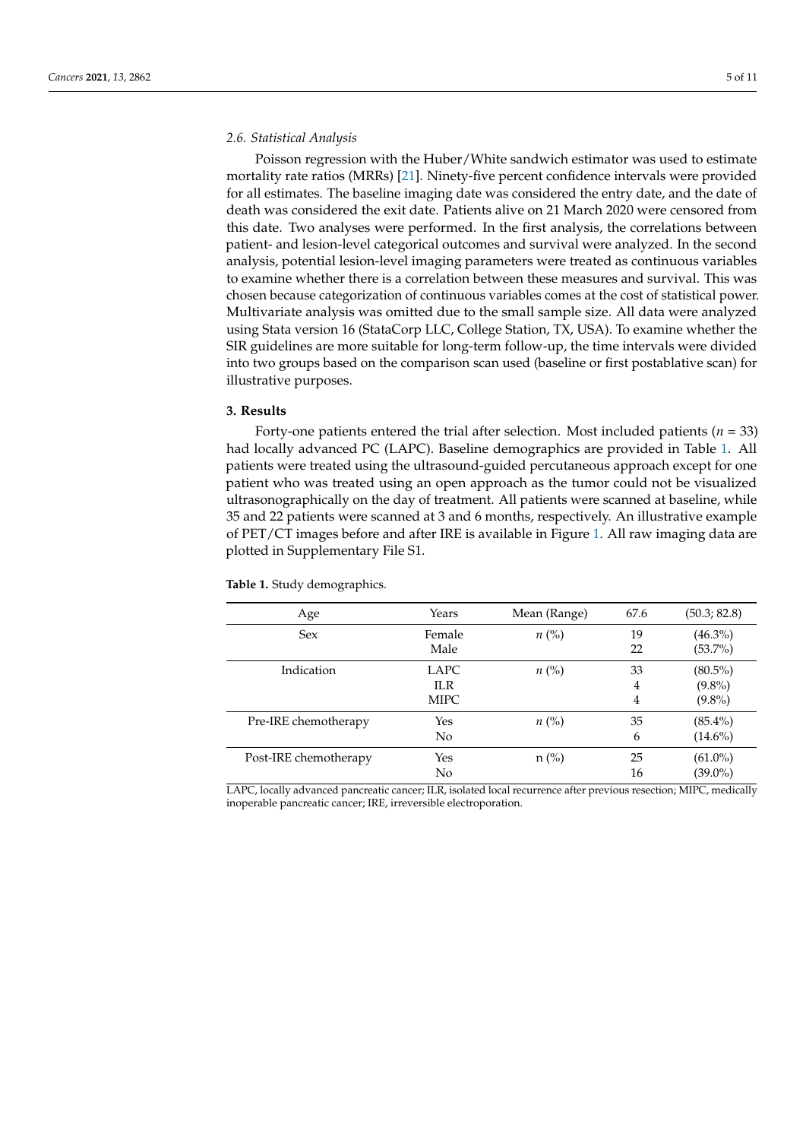#### *2.6. Statistical Analysis*

Poisson regression with the Huber/White sandwich estimator was used to estimate mortality rate ratios (MRRs) [\[21\]](#page-9-16). Ninety-five percent confidence intervals were provided for all estimates. The baseline imaging date was considered the entry date, and the date of death was considered the exit date. Patients alive on 21 March 2020 were censored from this date. Two analyses were performed. In the first analysis, the correlations between patient- and lesion-level categorical outcomes and survival were analyzed. In the second analysis, potential lesion-level imaging parameters were treated as continuous variables to examine whether there is a correlation between these measures and survival. This was chosen because categorization of continuous variables comes at the cost of statistical power. Multivariate analysis was omitted due to the small sample size. All data were analyzed using Stata version 16 (StataCorp LLC, College Station, TX, USA). To examine whether the SIR guidelines are more suitable for long-term follow-up, the time intervals were divided into two groups based on the comparison scan used (baseline or first postablative scan) for illustrative purposes.

#### **3. Results**

Forty-one patients entered the trial after selection. Most included patients (*n* = 33) had locally advanced PC (LAPC). Baseline demographics are provided in Table [1.](#page-4-0) All patients were treated using the ultrasound-guided percutaneous approach except for one patient who was treated using an open approach as the tumor could not be visualized ultrasonographically on the day of treatment. All patients were scanned at baseline, while 35 and 22 patients were scanned at 3 and 6 months, respectively. An illustrative example of PET/CT images before and after IRE is available in Figure [1.](#page-5-0) All raw imaging data are plotted in Supplementary File S1.

| Age                   | Years                       | Mean (Range)       | 67.6         | (50.3; 82.8)                         |
|-----------------------|-----------------------------|--------------------|--------------|--------------------------------------|
| <b>Sex</b>            | Female<br>Male              | $n\left(\%\right)$ | 19<br>22     | $(46.3\%)$<br>$(53.7\%)$             |
| Indication            | LAPC<br>ILR.<br><b>MIPC</b> | $n\left(\%\right)$ | 33<br>4<br>4 | $(80.5\%)$<br>$(9.8\%)$<br>$(9.8\%)$ |
| Pre-IRE chemotherapy  | Yes<br>No                   | $n\left(\%\right)$ | 35<br>6      | $(85.4\%)$<br>$(14.6\%)$             |
| Post-IRE chemotherapy | Yes<br>No                   | $n$ (%)            | 25<br>16     | $(61.0\%)$<br>$(39.0\%)$             |

<span id="page-4-0"></span>**Table 1.** Study demographics.

LAPC, locally advanced pancreatic cancer; ILR, isolated local recurrence after previous resection; MIPC, medically inoperable pancreatic cancer; IRE, irreversible electroporation.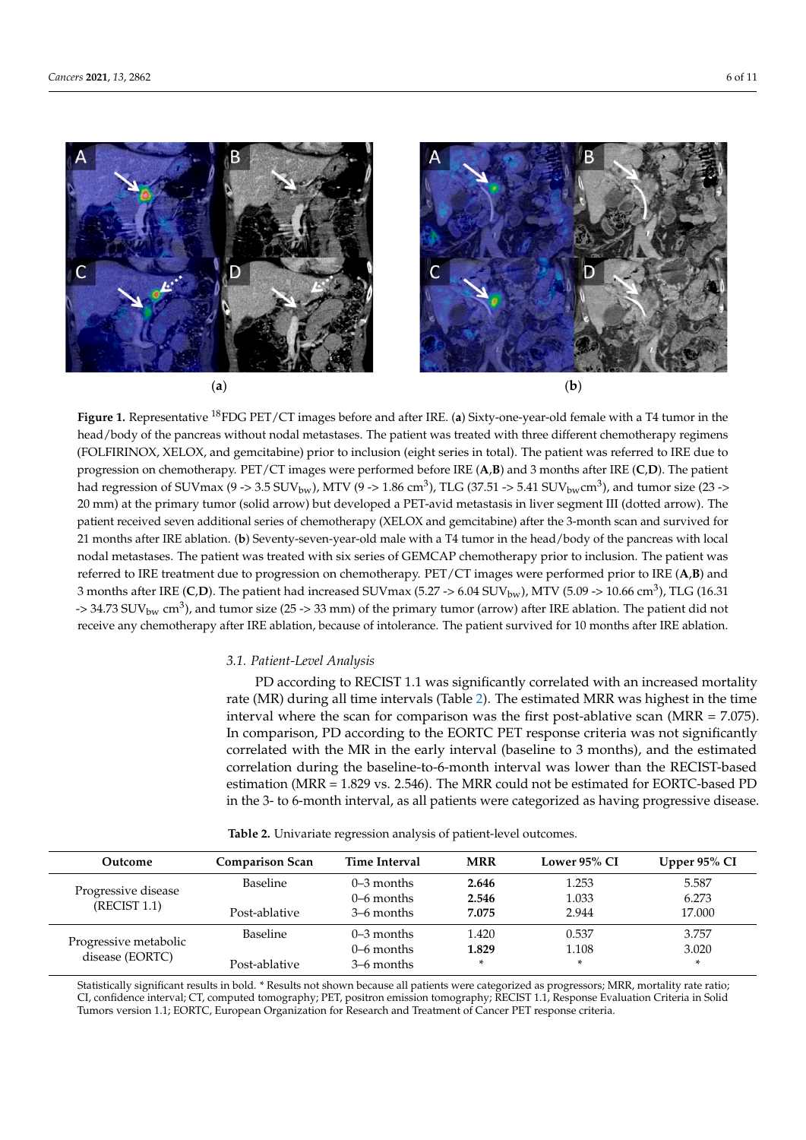<span id="page-5-0"></span>

*Cancers* **2021**, *13*, x 6 of 11

Figure 1. Representative <sup>18</sup>FDG PET/CT images before and after IRE. (a) Sixty-one-year-old female with a T4 tumor in the head/body of the pancreas without nodal metastases. The patient was treated with three different chemotherapy regimens head/body of the pancreas without nodal metastases. The patient was treated with three different chemotherapy regimens (FOLFIRINOX, XELOX, and gemcitabine) prior to inclusion (eight series in total). The patient was referred to IRE due to progression on chemotherapy. PET/CT images were performed before IRE  $(A,B)$  and 3 months after IRE  $(C,D)$ . The patient had regression of SUVmax (9 -> 3.5 SUV<sub>bw</sub>), MTV (9 -> 1.86 cm<sup>3</sup>), TLG (37.51 -> 5.41 SUV<sub>bw</sub>cm<sup>3</sup>), and tumor size (23 -> 20 mm) at the primary tumor (solid arrow) but developed a PET-avid metastasis in liver segment III (dotted arrow). The patient received seven additional series of chemotherapy (XELOX and gemcitabine) after the 3-month scan and survived for 21 months after IRE ablation. (b) Seventy-seven-year-old male with a T4 tumor in the head/body of the pancreas with local nodal metastases. The patient was treated with six series of GEMCAP chemotherapy prior to inclusion. The patient was referred to IRE treatment due to progression on chemotherapy. PET/CT images were performed prior to IRE (A,B) and 3 months after IRE (C,D). The patient had increased SUVmax (5.27 -> 6.04 SUV<sub>bw</sub>), MTV (5.09 -> 10.66 cm<sup>3</sup>), TLG (16.31)  $-$  34.73 SUV<sub>bw</sub> cm<sup>3</sup>), and tumor size (25 -> 33 mm) of the primary tumor (arrow) after IRE ablation. The patient did not *3.1. Patient-Level Analysis*  receive any chemotherapy after IRE ablation, because of intolerance. The patient survived for 10 months after IRE ablation.

## 3.1. Patient-Level Analysis

rate (MR) during all time intervals (Table 2). The estimated MRR was highest in the time PD according to RECIST 1.1 was significantly correlated with an increased mortality rate (MR) during all time intervals (Table [2\)](#page-5-1). The estimated MRR was highest in the time  $\frac{1}{2}$ interval where the scan for comparison was the first post-ablative scan (MRR = 7.075). In comparison, PD according to the EORTC PET response criteria was not significantly correlated with the MR in the early interval (baseline to 3 months), and the estimated  $\frac{1}{2}$ estimation during the baseline-to-6-month interval, was lower than the KEC151-based progressive estimation (MRR = 1.829 vs. 2.546). The MRR could not be estimated for EORTC-based PD in the 3- to 6-month interval, as all patients were categorized as having progressive disease. correlation during the baseline-to-6-month interval was lower than the RECIST-based

<span id="page-5-1"></span>

| Outcome                                  | <b>Comparison Scan</b> | Time Interval | <b>MRR</b> | Lower 95% CI | Upper $95\%$ CI |
|------------------------------------------|------------------------|---------------|------------|--------------|-----------------|
| Progressive disease<br>(RECIST 1.1)      | <b>Baseline</b>        | $0-3$ months  | 2.646      | 1.253        | 5.587           |
|                                          |                        | $0-6$ months  | 2.546      | 1.033        | 6.273           |
|                                          | Post-ablative          | 3–6 months    | 7.075      | 2.944        | 17,000          |
| Progressive metabolic<br>disease (EORTC) | <b>Baseline</b>        | $0-3$ months  | 1.420      | 0.537        | 3.757           |
|                                          |                        | $0-6$ months  | 1.829      | 1.108        | 3.020           |
|                                          | Post-ablative          | 3–6 months    | $\ast$     | $\ast$       | $\ast$          |

**Table 2.** Univariate regression analysis of patient-level outcomes. **Table 2.** Univariate regression analysis of patient-level outcomes.

Statistically significant results in bold. \* Results not shown because all patients were categorized as progressors; MRR, mortality rate ratio; CI, confidence interval; CT, computed tomography; PET, positron emission tomography; RECIST 1.1, Response Evaluation Criteria in Solid Tumors version 1.1; EORTC, European Organization for Research and Treatment of Cancer PET response criteria.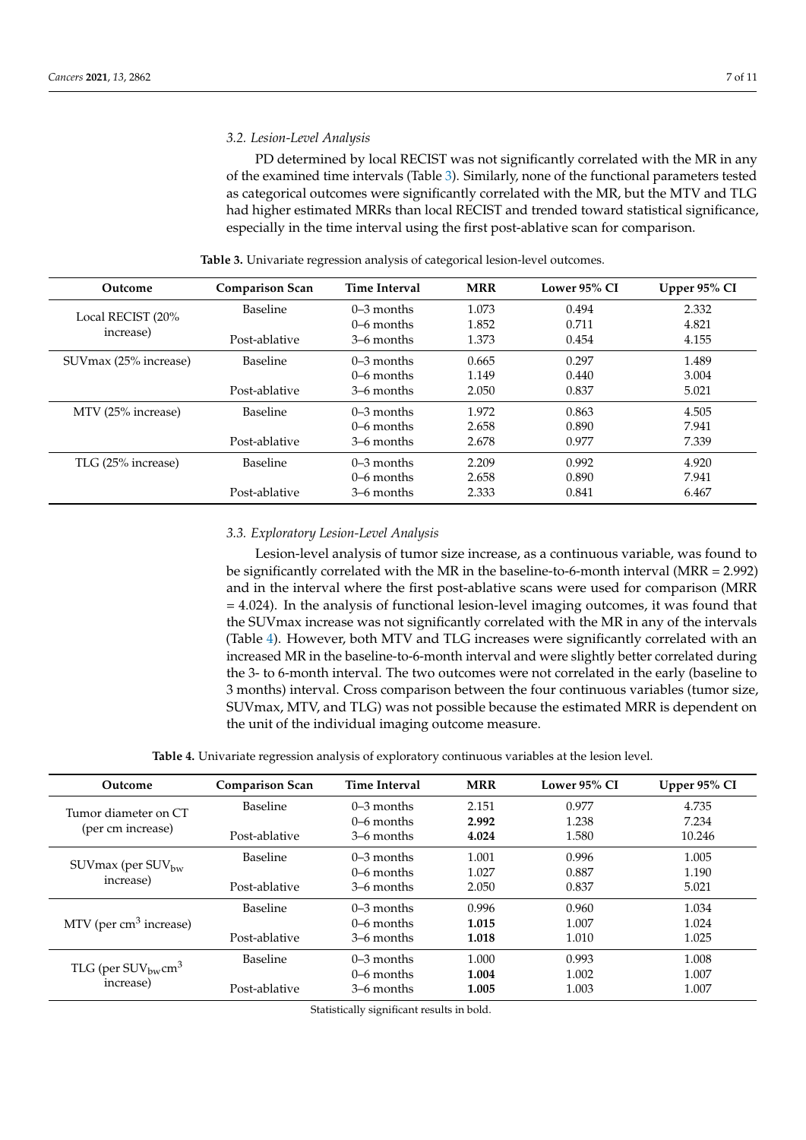#### *3.2. Lesion-Level Analysis*

PD determined by local RECIST was not significantly correlated with the MR in any of the examined time intervals (Table [3\)](#page-6-0). Similarly, none of the functional parameters tested as categorical outcomes were significantly correlated with the MR, but the MTV and TLG had higher estimated MRRs than local RECIST and trended toward statistical significance, especially in the time interval using the first post-ablative scan for comparison.

<span id="page-6-0"></span>

| Outcome                        | <b>Comparison Scan</b> | <b>Time Interval</b> | <b>MRR</b> | Lower 95% CI | Upper 95% CI |
|--------------------------------|------------------------|----------------------|------------|--------------|--------------|
| Local RECIST (20%<br>increase) | <b>Baseline</b>        | $0-3$ months         | 1.073      | 0.494        | 2.332        |
|                                |                        | $0-6$ months         | 1.852      | 0.711        | 4.821        |
|                                | Post-ablative          | 3–6 months           | 1.373      | 0.454        | 4.155        |
| SUV max (25% increase)         | <b>Baseline</b>        | $0-3$ months         | 0.665      | 0.297        | 1.489        |
|                                |                        | $0-6$ months         | 1.149      | 0.440        | 3.004        |
|                                | Post-ablative          | 3–6 months           | 2.050      | 0.837        | 5.021        |
| MTV (25% increase)             | <b>Baseline</b>        | $0-3$ months         | 1.972      | 0.863        | 4.505        |
|                                |                        | $0-6$ months         | 2.658      | 0.890        | 7.941        |
|                                | Post-ablative          | 3–6 months           | 2.678      | 0.977        | 7.339        |
| TLG (25% increase)             | <b>Baseline</b>        | $0-3$ months         | 2.209      | 0.992        | 4.920        |
|                                |                        | $0-6$ months         | 2.658      | 0.890        | 7.941        |
|                                | Post-ablative          | 3–6 months           | 2.333      | 0.841        | 6.467        |

**Table 3.** Univariate regression analysis of categorical lesion-level outcomes.

#### *3.3. Exploratory Lesion-Level Analysis*

Lesion-level analysis of tumor size increase, as a continuous variable, was found to be significantly correlated with the MR in the baseline-to-6-month interval (MRR = 2.992) and in the interval where the first post-ablative scans were used for comparison (MRR = 4.024). In the analysis of functional lesion-level imaging outcomes, it was found that the SUVmax increase was not significantly correlated with the MR in any of the intervals (Table [4\)](#page-6-1). However, both MTV and TLG increases were significantly correlated with an increased MR in the baseline-to-6-month interval and were slightly better correlated during the 3- to 6-month interval. The two outcomes were not correlated in the early (baseline to 3 months) interval. Cross comparison between the four continuous variables (tumor size, SUVmax, MTV, and TLG) was not possible because the estimated MRR is dependent on the unit of the individual imaging outcome measure.

**Table 4.** Univariate regression analysis of exploratory continuous variables at the lesion level.

<span id="page-6-1"></span>

| Outcome                                                   | <b>Comparison Scan</b> | <b>Time Interval</b> | <b>MRR</b> | Lower 95% CI | Upper 95% CI |
|-----------------------------------------------------------|------------------------|----------------------|------------|--------------|--------------|
| Tumor diameter on CT<br>(per cm increase)                 | <b>Baseline</b>        | $0-3$ months         | 2.151      | 0.977        | 4.735        |
|                                                           |                        | $0-6$ months         | 2.992      | 1.238        | 7.234        |
|                                                           | Post-ablative          | 3–6 months           | 4.024      | 1.580        | 10.246       |
| SUV $max$ (per SUV <sub>bw</sub> )<br>increase)           | <b>Baseline</b>        | $0-3$ months         | 1.001      | 0.996        | 1.005        |
|                                                           |                        | $0-6$ months         | 1.027      | 0.887        | 1.190        |
|                                                           | Post-ablative          | 3–6 months           | 2.050      | 0.837        | 5.021        |
| MTV (per $cm3$ increase)                                  | <b>Baseline</b>        | $0-3$ months         | 0.996      | 0.960        | 1.034        |
|                                                           |                        | $0-6$ months         | 1.015      | 1.007        | 1.024        |
|                                                           | Post-ablative          | 3–6 months           | 1.018      | 1.010        | 1.025        |
| TLG (per $\text{SUV}_{\text{bw}}\text{cm}^3$<br>increase) | <b>Baseline</b>        | $0-3$ months         | 1.000      | 0.993        | 1.008        |
|                                                           |                        | $0-6$ months         | 1.004      | 1.002        | 1.007        |
|                                                           | Post-ablative          | 3–6 months           | 1.005      | 1.003        | 1.007        |

Statistically significant results in bold.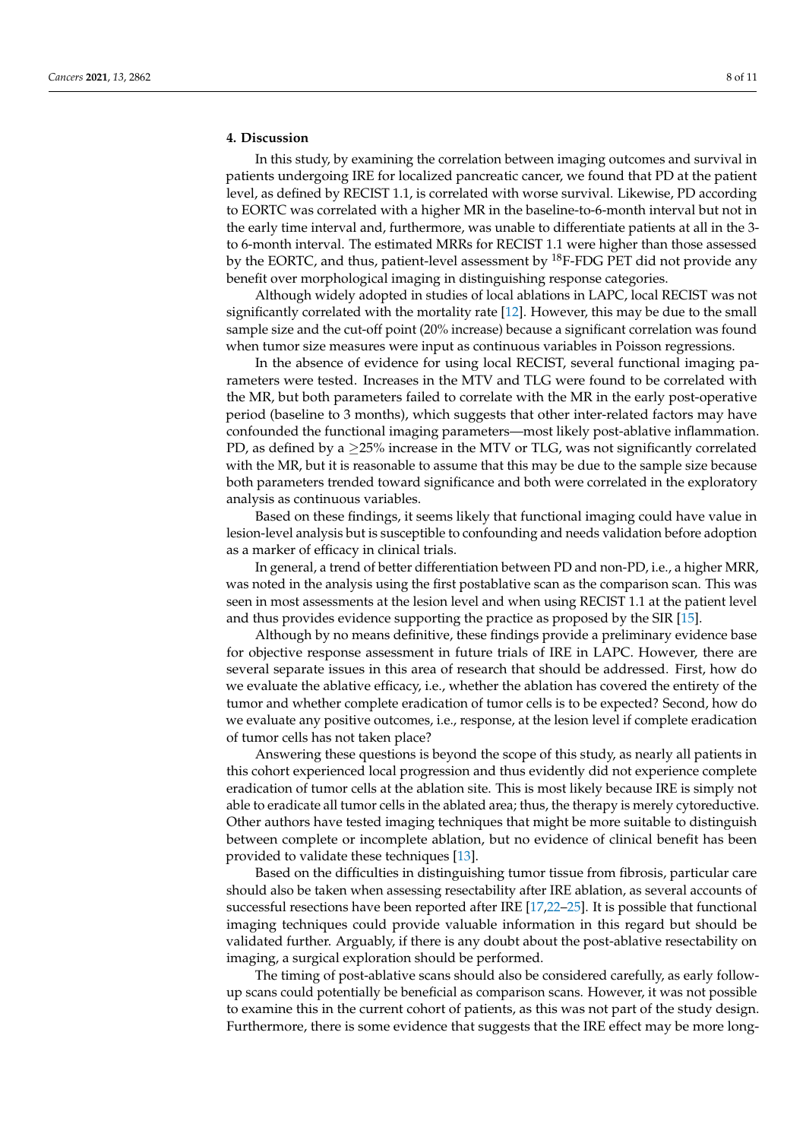## **4. Discussion**

In this study, by examining the correlation between imaging outcomes and survival in patients undergoing IRE for localized pancreatic cancer, we found that PD at the patient level, as defined by RECIST 1.1, is correlated with worse survival. Likewise, PD according to EORTC was correlated with a higher MR in the baseline-to-6-month interval but not in the early time interval and, furthermore, was unable to differentiate patients at all in the 3 to 6-month interval. The estimated MRRs for RECIST 1.1 were higher than those assessed by the EORTC, and thus, patient-level assessment by  $^{18}$ F-FDG PET did not provide any benefit over morphological imaging in distinguishing response categories.

Although widely adopted in studies of local ablations in LAPC, local RECIST was not significantly correlated with the mortality rate [\[12\]](#page-9-7). However, this may be due to the small sample size and the cut-off point (20% increase) because a significant correlation was found when tumor size measures were input as continuous variables in Poisson regressions.

In the absence of evidence for using local RECIST, several functional imaging parameters were tested. Increases in the MTV and TLG were found to be correlated with the MR, but both parameters failed to correlate with the MR in the early post-operative period (baseline to 3 months), which suggests that other inter-related factors may have confounded the functional imaging parameters—most likely post-ablative inflammation. PD, as defined by a  $\geq$ 25% increase in the MTV or TLG, was not significantly correlated with the MR, but it is reasonable to assume that this may be due to the sample size because both parameters trended toward significance and both were correlated in the exploratory analysis as continuous variables.

Based on these findings, it seems likely that functional imaging could have value in lesion-level analysis but is susceptible to confounding and needs validation before adoption as a marker of efficacy in clinical trials.

In general, a trend of better differentiation between PD and non-PD, i.e., a higher MRR, was noted in the analysis using the first postablative scan as the comparison scan. This was seen in most assessments at the lesion level and when using RECIST 1.1 at the patient level and thus provides evidence supporting the practice as proposed by the SIR [\[15\]](#page-9-10).

Although by no means definitive, these findings provide a preliminary evidence base for objective response assessment in future trials of IRE in LAPC. However, there are several separate issues in this area of research that should be addressed. First, how do we evaluate the ablative efficacy, i.e., whether the ablation has covered the entirety of the tumor and whether complete eradication of tumor cells is to be expected? Second, how do we evaluate any positive outcomes, i.e., response, at the lesion level if complete eradication of tumor cells has not taken place?

Answering these questions is beyond the scope of this study, as nearly all patients in this cohort experienced local progression and thus evidently did not experience complete eradication of tumor cells at the ablation site. This is most likely because IRE is simply not able to eradicate all tumor cells in the ablated area; thus, the therapy is merely cytoreductive. Other authors have tested imaging techniques that might be more suitable to distinguish between complete or incomplete ablation, but no evidence of clinical benefit has been provided to validate these techniques [\[13\]](#page-9-8).

Based on the difficulties in distinguishing tumor tissue from fibrosis, particular care should also be taken when assessing resectability after IRE ablation, as several accounts of successful resections have been reported after IRE [\[17,](#page-9-12)[22](#page-9-17)[–25\]](#page-10-0). It is possible that functional imaging techniques could provide valuable information in this regard but should be validated further. Arguably, if there is any doubt about the post-ablative resectability on imaging, a surgical exploration should be performed.

The timing of post-ablative scans should also be considered carefully, as early followup scans could potentially be beneficial as comparison scans. However, it was not possible to examine this in the current cohort of patients, as this was not part of the study design. Furthermore, there is some evidence that suggests that the IRE effect may be more long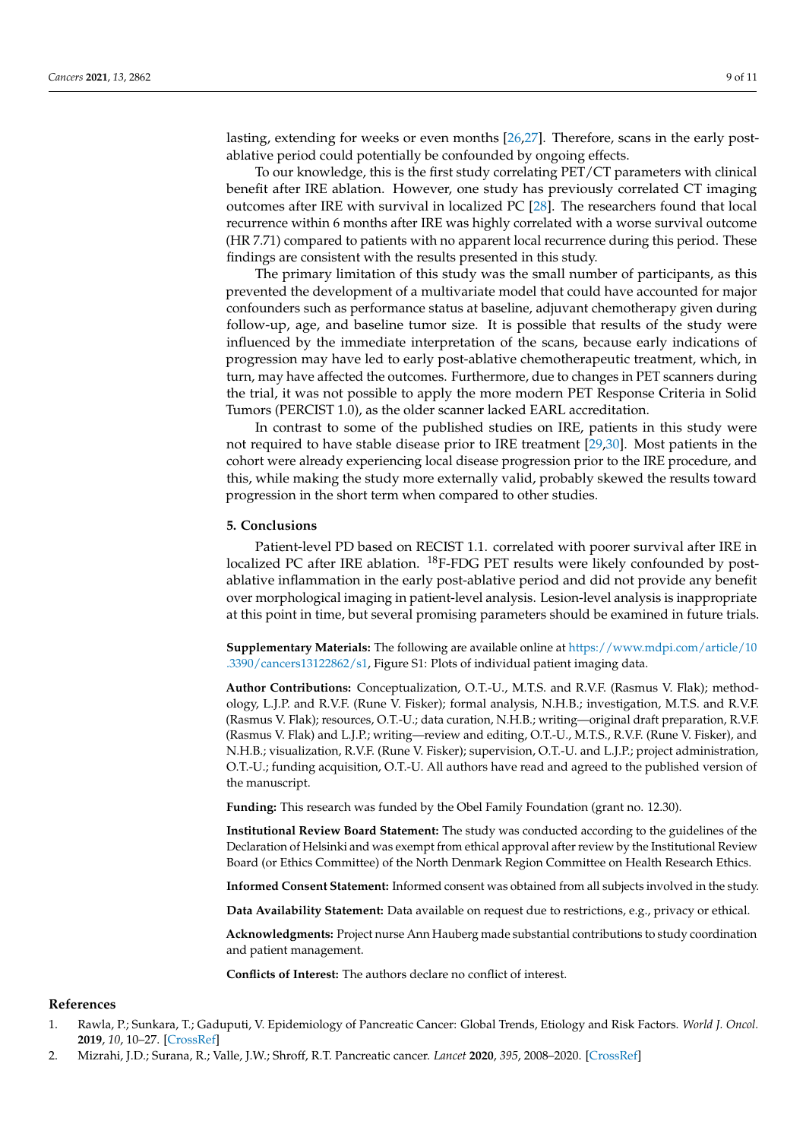lasting, extending for weeks or even months [\[26,](#page-10-1)[27\]](#page-10-2). Therefore, scans in the early postablative period could potentially be confounded by ongoing effects.

To our knowledge, this is the first study correlating PET/CT parameters with clinical benefit after IRE ablation. However, one study has previously correlated CT imaging outcomes after IRE with survival in localized PC [\[28\]](#page-10-3). The researchers found that local recurrence within 6 months after IRE was highly correlated with a worse survival outcome (HR 7.71) compared to patients with no apparent local recurrence during this period. These findings are consistent with the results presented in this study.

The primary limitation of this study was the small number of participants, as this prevented the development of a multivariate model that could have accounted for major confounders such as performance status at baseline, adjuvant chemotherapy given during follow-up, age, and baseline tumor size. It is possible that results of the study were influenced by the immediate interpretation of the scans, because early indications of progression may have led to early post-ablative chemotherapeutic treatment, which, in turn, may have affected the outcomes. Furthermore, due to changes in PET scanners during the trial, it was not possible to apply the more modern PET Response Criteria in Solid Tumors (PERCIST 1.0), as the older scanner lacked EARL accreditation.

In contrast to some of the published studies on IRE, patients in this study were not required to have stable disease prior to IRE treatment [\[29,](#page-10-4)[30\]](#page-10-5). Most patients in the cohort were already experiencing local disease progression prior to the IRE procedure, and this, while making the study more externally valid, probably skewed the results toward progression in the short term when compared to other studies.

#### **5. Conclusions**

Patient-level PD based on RECIST 1.1. correlated with poorer survival after IRE in localized PC after IRE ablation.  $^{18}$ F-FDG PET results were likely confounded by postablative inflammation in the early post-ablative period and did not provide any benefit over morphological imaging in patient-level analysis. Lesion-level analysis is inappropriate at this point in time, but several promising parameters should be examined in future trials.

**Supplementary Materials:** The following are available online at [https://www.mdpi.com/article/10](https://www.mdpi.com/article/10.3390/cancers13122862/s1) [.3390/cancers13122862/s1,](https://www.mdpi.com/article/10.3390/cancers13122862/s1) Figure S1: Plots of individual patient imaging data.

**Author Contributions:** Conceptualization, O.T.-U., M.T.S. and R.V.F. (Rasmus V. Flak); methodology, L.J.P. and R.V.F. (Rune V. Fisker); formal analysis, N.H.B.; investigation, M.T.S. and R.V.F. (Rasmus V. Flak); resources, O.T.-U.; data curation, N.H.B.; writing—original draft preparation, R.V.F. (Rasmus V. Flak) and L.J.P.; writing—review and editing, O.T.-U., M.T.S., R.V.F. (Rune V. Fisker), and N.H.B.; visualization, R.V.F. (Rune V. Fisker); supervision, O.T.-U. and L.J.P.; project administration, O.T.-U.; funding acquisition, O.T.-U. All authors have read and agreed to the published version of the manuscript.

**Funding:** This research was funded by the Obel Family Foundation (grant no. 12.30).

**Institutional Review Board Statement:** The study was conducted according to the guidelines of the Declaration of Helsinki and was exempt from ethical approval after review by the Institutional Review Board (or Ethics Committee) of the North Denmark Region Committee on Health Research Ethics.

**Informed Consent Statement:** Informed consent was obtained from all subjects involved in the study.

**Data Availability Statement:** Data available on request due to restrictions, e.g., privacy or ethical.

**Acknowledgments:** Project nurse Ann Hauberg made substantial contributions to study coordination and patient management.

**Conflicts of Interest:** The authors declare no conflict of interest.

#### **References**

- <span id="page-8-0"></span>1. Rawla, P.; Sunkara, T.; Gaduputi, V. Epidemiology of Pancreatic Cancer: Global Trends, Etiology and Risk Factors. *World J. Oncol.* **2019**, *10*, 10–27. [\[CrossRef\]](http://doi.org/10.14740/wjon1166)
- <span id="page-8-1"></span>2. Mizrahi, J.D.; Surana, R.; Valle, J.W.; Shroff, R.T. Pancreatic cancer. *Lancet* **2020**, *395*, 2008–2020. [\[CrossRef\]](http://doi.org/10.1016/S0140-6736(20)30974-0)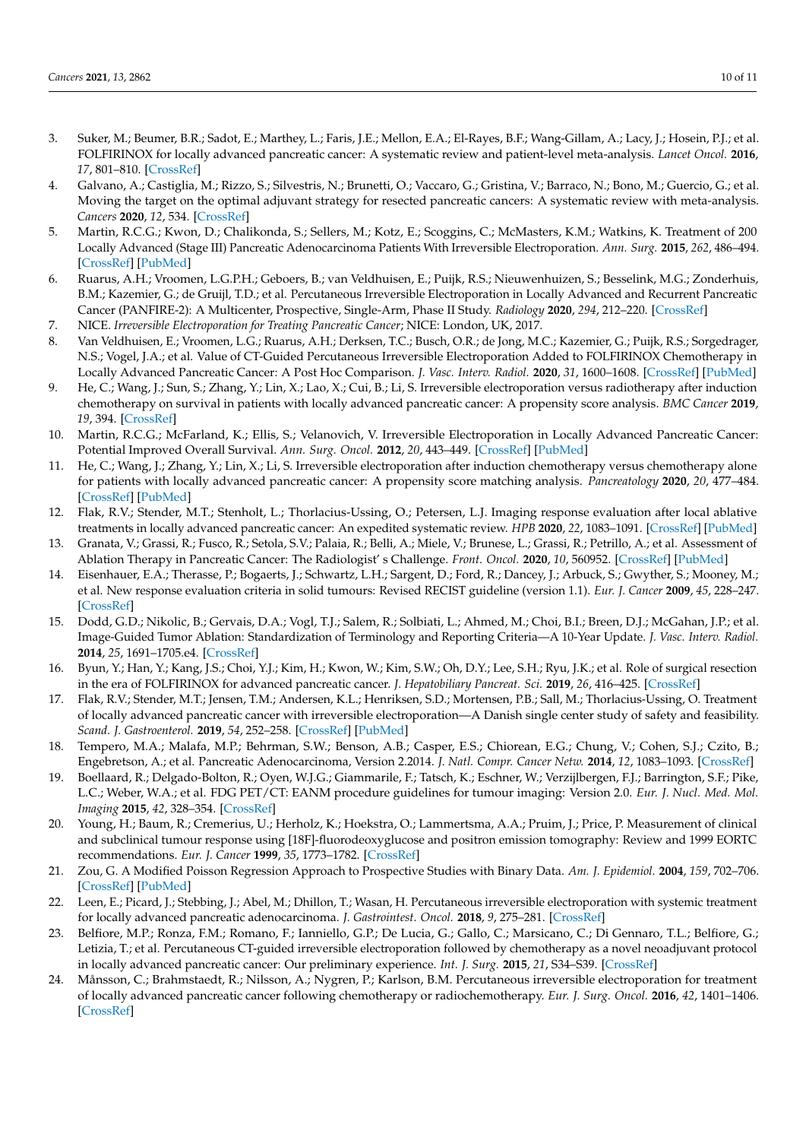- <span id="page-9-0"></span>3. Suker, M.; Beumer, B.R.; Sadot, E.; Marthey, L.; Faris, J.E.; Mellon, E.A.; El-Rayes, B.F.; Wang-Gillam, A.; Lacy, J.; Hosein, P.J.; et al. FOLFIRINOX for locally advanced pancreatic cancer: A systematic review and patient-level meta-analysis. *Lancet Oncol.* **2016**, *17*, 801–810. [\[CrossRef\]](http://doi.org/10.1016/S1470-2045(16)00172-8)
- <span id="page-9-1"></span>4. Galvano, A.; Castiglia, M.; Rizzo, S.; Silvestris, N.; Brunetti, O.; Vaccaro, G.; Gristina, V.; Barraco, N.; Bono, M.; Guercio, G.; et al. Moving the target on the optimal adjuvant strategy for resected pancreatic cancers: A systematic review with meta-analysis. *Cancers* **2020**, *12*, 534. [\[CrossRef\]](http://doi.org/10.3390/cancers12030534)
- <span id="page-9-2"></span>5. Martin, R.C.G.; Kwon, D.; Chalikonda, S.; Sellers, M.; Kotz, E.; Scoggins, C.; McMasters, K.M.; Watkins, K. Treatment of 200 Locally Advanced (Stage III) Pancreatic Adenocarcinoma Patients With Irreversible Electroporation. *Ann. Surg.* **2015**, *262*, 486–494. [\[CrossRef\]](http://doi.org/10.1097/SLA.0000000000001441) [\[PubMed\]](http://www.ncbi.nlm.nih.gov/pubmed/26258317)
- <span id="page-9-3"></span>6. Ruarus, A.H.; Vroomen, L.G.P.H.; Geboers, B.; van Veldhuisen, E.; Puijk, R.S.; Nieuwenhuizen, S.; Besselink, M.G.; Zonderhuis, B.M.; Kazemier, G.; de Gruijl, T.D.; et al. Percutaneous Irreversible Electroporation in Locally Advanced and Recurrent Pancreatic Cancer (PANFIRE-2): A Multicenter, Prospective, Single-Arm, Phase II Study. *Radiology* **2020**, *294*, 212–220. [\[CrossRef\]](http://doi.org/10.1148/radiol.2019191109)
- <span id="page-9-4"></span>7. NICE. *Irreversible Electroporation for Treating Pancreatic Cancer*; NICE: London, UK, 2017.
- <span id="page-9-5"></span>8. Van Veldhuisen, E.; Vroomen, L.G.; Ruarus, A.H.; Derksen, T.C.; Busch, O.R.; de Jong, M.C.; Kazemier, G.; Puijk, R.S.; Sorgedrager, N.S.; Vogel, J.A.; et al. Value of CT-Guided Percutaneous Irreversible Electroporation Added to FOLFIRINOX Chemotherapy in Locally Advanced Pancreatic Cancer: A Post Hoc Comparison. *J. Vasc. Interv. Radiol.* **2020**, *31*, 1600–1608. [\[CrossRef\]](http://doi.org/10.1016/j.jvir.2020.02.024) [\[PubMed\]](http://www.ncbi.nlm.nih.gov/pubmed/32861569)
- 9. He, C.; Wang, J.; Sun, S.; Zhang, Y.; Lin, X.; Lao, X.; Cui, B.; Li, S. Irreversible electroporation versus radiotherapy after induction chemotherapy on survival in patients with locally advanced pancreatic cancer: A propensity score analysis. *BMC Cancer* **2019**, *19*, 394. [\[CrossRef\]](http://doi.org/10.1186/s12885-019-5607-3)
- 10. Martin, R.C.G.; McFarland, K.; Ellis, S.; Velanovich, V. Irreversible Electroporation in Locally Advanced Pancreatic Cancer: Potential Improved Overall Survival. *Ann. Surg. Oncol.* **2012**, *20*, 443–449. [\[CrossRef\]](http://doi.org/10.1245/s10434-012-2736-1) [\[PubMed\]](http://www.ncbi.nlm.nih.gov/pubmed/23128941)
- <span id="page-9-6"></span>11. He, C.; Wang, J.; Zhang, Y.; Lin, X.; Li, S. Irreversible electroporation after induction chemotherapy versus chemotherapy alone for patients with locally advanced pancreatic cancer: A propensity score matching analysis. *Pancreatology* **2020**, *20*, 477–484. [\[CrossRef\]](http://doi.org/10.1016/j.pan.2020.02.009) [\[PubMed\]](http://www.ncbi.nlm.nih.gov/pubmed/32131993)
- <span id="page-9-7"></span>12. Flak, R.V.; Stender, M.T.; Stenholt, L.; Thorlacius-Ussing, O.; Petersen, L.J. Imaging response evaluation after local ablative treatments in locally advanced pancreatic cancer: An expedited systematic review. *HPB* **2020**, *22*, 1083–1091. [\[CrossRef\]](http://doi.org/10.1016/j.hpb.2020.04.011) [\[PubMed\]](http://www.ncbi.nlm.nih.gov/pubmed/32451236)
- <span id="page-9-8"></span>13. Granata, V.; Grassi, R.; Fusco, R.; Setola, S.V.; Palaia, R.; Belli, A.; Miele, V.; Brunese, L.; Grassi, R.; Petrillo, A.; et al. Assessment of Ablation Therapy in Pancreatic Cancer: The Radiologist' s Challenge. *Front. Oncol.* **2020**, *10*, 560952. [\[CrossRef\]](http://doi.org/10.3389/fonc.2020.560952) [\[PubMed\]](http://www.ncbi.nlm.nih.gov/pubmed/33330028)
- <span id="page-9-9"></span>14. Eisenhauer, E.A.; Therasse, P.; Bogaerts, J.; Schwartz, L.H.; Sargent, D.; Ford, R.; Dancey, J.; Arbuck, S.; Gwyther, S.; Mooney, M.; et al. New response evaluation criteria in solid tumours: Revised RECIST guideline (version 1.1). *Eur. J. Cancer* **2009**, *45*, 228–247. [\[CrossRef\]](http://doi.org/10.1016/j.ejca.2008.10.026)
- <span id="page-9-10"></span>15. Dodd, G.D.; Nikolic, B.; Gervais, D.A.; Vogl, T.J.; Salem, R.; Solbiati, L.; Ahmed, M.; Choi, B.I.; Breen, D.J.; McGahan, J.P.; et al. Image-Guided Tumor Ablation: Standardization of Terminology and Reporting Criteria—A 10-Year Update. *J. Vasc. Interv. Radiol.* **2014**, *25*, 1691–1705.e4. [\[CrossRef\]](http://doi.org/10.1016/j.jvir.2014.08.027)
- <span id="page-9-11"></span>16. Byun, Y.; Han, Y.; Kang, J.S.; Choi, Y.J.; Kim, H.; Kwon, W.; Kim, S.W.; Oh, D.Y.; Lee, S.H.; Ryu, J.K.; et al. Role of surgical resection in the era of FOLFIRINOX for advanced pancreatic cancer. *J. Hepatobiliary Pancreat. Sci.* **2019**, *26*, 416–425. [\[CrossRef\]](http://doi.org/10.1002/jhbp.648)
- <span id="page-9-12"></span>17. Flak, R.V.; Stender, M.T.; Jensen, T.M.; Andersen, K.L.; Henriksen, S.D.; Mortensen, P.B.; Sall, M.; Thorlacius-Ussing, O. Treatment of locally advanced pancreatic cancer with irreversible electroporation—A Danish single center study of safety and feasibility. *Scand. J. Gastroenterol.* **2019**, *54*, 252–258. [\[CrossRef\]](http://doi.org/10.1080/00365521.2019.1575465) [\[PubMed\]](http://www.ncbi.nlm.nih.gov/pubmed/30907286)
- <span id="page-9-13"></span>18. Tempero, M.A.; Malafa, M.P.; Behrman, S.W.; Benson, A.B.; Casper, E.S.; Chiorean, E.G.; Chung, V.; Cohen, S.J.; Czito, B.; Engebretson, A.; et al. Pancreatic Adenocarcinoma, Version 2.2014. *J. Natl. Compr. Cancer Netw.* **2014**, *12*, 1083–1093. [\[CrossRef\]](http://doi.org/10.6004/jnccn.2014.0106)
- <span id="page-9-14"></span>19. Boellaard, R.; Delgado-Bolton, R.; Oyen, W.J.G.; Giammarile, F.; Tatsch, K.; Eschner, W.; Verzijlbergen, F.J.; Barrington, S.F.; Pike, L.C.; Weber, W.A.; et al. FDG PET/CT: EANM procedure guidelines for tumour imaging: Version 2.0. *Eur. J. Nucl. Med. Mol. Imaging* **2015**, *42*, 328–354. [\[CrossRef\]](http://doi.org/10.1007/s00259-014-2961-x)
- <span id="page-9-15"></span>20. Young, H.; Baum, R.; Cremerius, U.; Herholz, K.; Hoekstra, O.; Lammertsma, A.A.; Pruim, J.; Price, P. Measurement of clinical and subclinical tumour response using [18F]-fluorodeoxyglucose and positron emission tomography: Review and 1999 EORTC recommendations. *Eur. J. Cancer* **1999**, *35*, 1773–1782. [\[CrossRef\]](http://doi.org/10.1016/S0959-8049(99)00229-4)
- <span id="page-9-16"></span>21. Zou, G. A Modified Poisson Regression Approach to Prospective Studies with Binary Data. *Am. J. Epidemiol.* **2004**, *159*, 702–706. [\[CrossRef\]](http://doi.org/10.1093/aje/kwh090) [\[PubMed\]](http://www.ncbi.nlm.nih.gov/pubmed/15033648)
- <span id="page-9-17"></span>22. Leen, E.; Picard, J.; Stebbing, J.; Abel, M.; Dhillon, T.; Wasan, H. Percutaneous irreversible electroporation with systemic treatment for locally advanced pancreatic adenocarcinoma. *J. Gastrointest. Oncol.* **2018**, *9*, 275–281. [\[CrossRef\]](http://doi.org/10.21037/jgo.2018.01.14)
- 23. Belfiore, M.P.; Ronza, F.M.; Romano, F.; Ianniello, G.P.; De Lucia, G.; Gallo, C.; Marsicano, C.; Di Gennaro, T.L.; Belfiore, G.; Letizia, T.; et al. Percutaneous CT-guided irreversible electroporation followed by chemotherapy as a novel neoadjuvant protocol in locally advanced pancreatic cancer: Our preliminary experience. *Int. J. Surg.* **2015**, *21*, S34–S39. [\[CrossRef\]](http://doi.org/10.1016/j.ijsu.2015.06.049)
- 24. Månsson, C.; Brahmstaedt, R.; Nilsson, A.; Nygren, P.; Karlson, B.M. Percutaneous irreversible electroporation for treatment of locally advanced pancreatic cancer following chemotherapy or radiochemotherapy. *Eur. J. Surg. Oncol.* **2016**, *42*, 1401–1406. [\[CrossRef\]](http://doi.org/10.1016/j.ejso.2016.01.024)